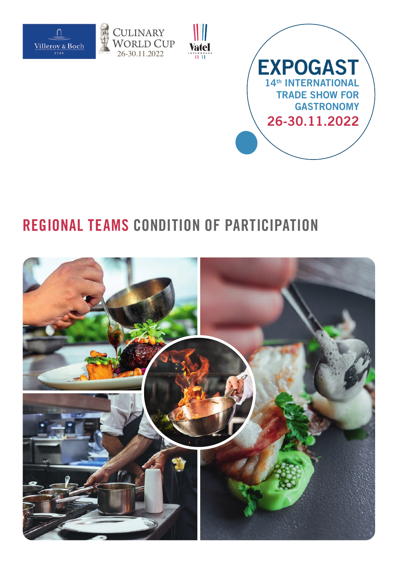







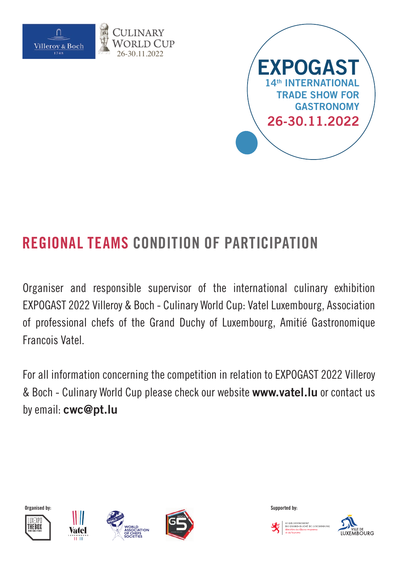



Organiser and responsible supervisor of the international culinary exhibition EXPOGAST 2022 Villeroy & Boch - Culinary World Cup: Vatel Luxembourg, Association of professional chefs of the Grand Duchy of Luxembourg, Amitié Gastronomique Francois Vatel.

For all information concerning the competition in relation to EXPOGAST 2022 Villeroy & Boch - Culinary World Cup please check our website **www.vatel.lu** or contact us by email: **cwc@pt.lu**













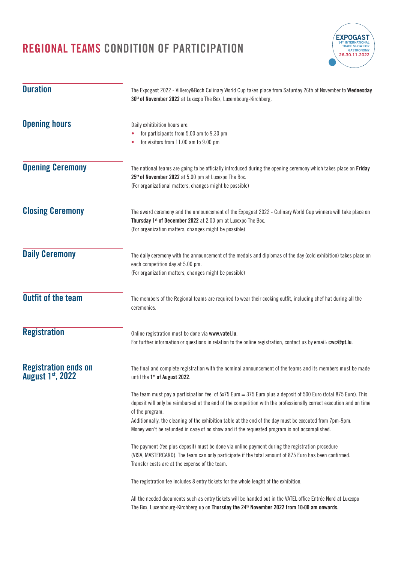**Duration**

**Opening hours**

**Opening Ceremony**

**Closing Ceremony**

**Daily Ceremony**

**Outfit of the team**

**Registration**

**August 1st, 2022**



The registration fee includes 8 entry tickets for the whole lenght of the exhibition.

Transfer costs are at the expense of the team.

All the needed documents such as entry tickets will be handed out in the VATEL office Entrée Nord at Luxexpo The Box, Luxembourg-Kirchberg up on **Thursday the 24th November 2022 from 10:00 am onwards.**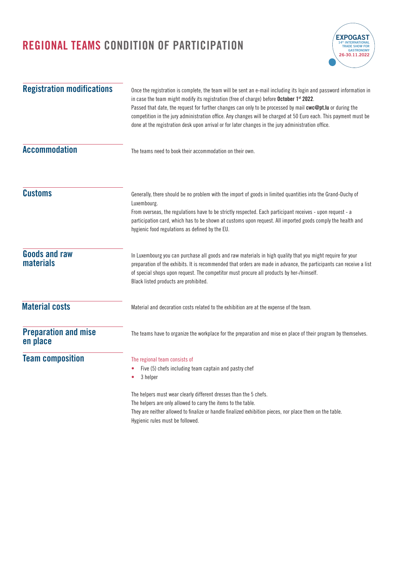

| <b>Registration modifications</b>        | Once the registration is complete, the team will be sent an e-mail including its login and password information in<br>in case the team might modify its registration (free of charge) before October 1st 2022.<br>Passed that date, the request for further changes can only to be processed by mail cwc@pt.lu or during the<br>competition in the jury administration office. Any changes will be charged at 50 Euro each. This payment must be<br>done at the registration desk upon arrival or for later changes in the jury administration office. |  |
|------------------------------------------|--------------------------------------------------------------------------------------------------------------------------------------------------------------------------------------------------------------------------------------------------------------------------------------------------------------------------------------------------------------------------------------------------------------------------------------------------------------------------------------------------------------------------------------------------------|--|
| <b>Accommodation</b>                     | The teams need to book their accommodation on their own.                                                                                                                                                                                                                                                                                                                                                                                                                                                                                               |  |
| <b>Customs</b>                           | Generally, there should be no problem with the import of goods in limited quantities into the Grand-Duchy of<br>Luxembourg.<br>From overseas, the regulations have to be strictly respected. Each participant receives - upon request - a<br>participation card, which has to be shown at customs upon request. All imported goods comply the health and<br>hygienic food regulations as defined by the EU.                                                                                                                                            |  |
| <b>Goods and raw</b><br><b>materials</b> | In Luxembourg you can purchase all goods and raw materials in high quality that you might require for your<br>preparation of the exhibits. It is recommended that orders are made in advance, the participants can receive a list<br>of special shops upon request. The competitor must procure all products by her-/himself.<br>Black listed products are prohibited.                                                                                                                                                                                 |  |
| <b>Material costs</b>                    | Material and decoration costs related to the exhibition are at the expense of the team.                                                                                                                                                                                                                                                                                                                                                                                                                                                                |  |
| <b>Preparation and mise</b><br>en place  | The teams have to organize the workplace for the preparation and mise en place of their program by themselves.                                                                                                                                                                                                                                                                                                                                                                                                                                         |  |
| <b>Team composition</b>                  | The regional team consists of<br>Five (5) chefs including team captain and pastry chef<br>3 helper<br>The helpers must wear clearly different dresses than the 5 chefs.<br>The helpers are only allowed to carry the items to the table.<br>They are neither allowed to finalize or handle finalized exhibition pieces, nor place them on the table.<br>Hygienic rules must be followed.                                                                                                                                                               |  |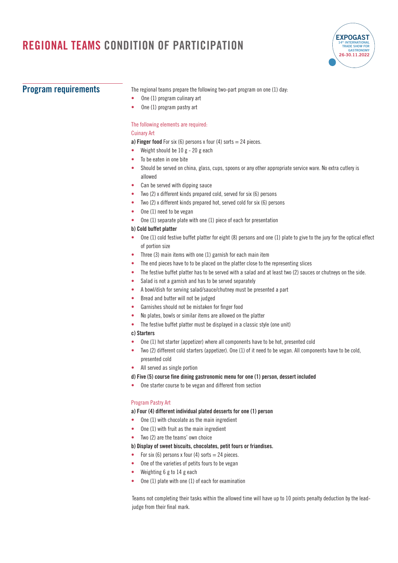

#### **Program requirements**

The regional teams prepare the following two-part program on one (1) day:

- **•** One (1) program culinary art
- **•** One (1) program pastry art

#### The following elements are required:

#### Cuinary Art

**a) Finger food** For six (6) persons x four (4) sorts  $=$  24 pieces.

- **•** Weight should be 10 g 20 g each
- **•** To be eaten in one bite
- **•** Should be served on china, glass, cups, spoons or any other appropriate service ware. No extra cutlery is allowed
- **•** Can be served with dipping sauce
- **•** Two (2) x different kinds prepared cold, served for six (6) persons
- **•** Two (2) x different kinds prepared hot, served cold for six (6) persons
- **•** One (1) need to be vegan
- **•** One (1) separate plate with one (1) piece of each for presentation

#### **b) Cold buffet platter**

- **•** One (1) cold festive buffet platter for eight (8) persons and one (1) plate to give to the jury for the optical effect of portion size
- **•** Three (3) main items with one (1) garnish for each main item
- **•** The end pieces have to to be placed on the platter close to the representing slices
- **•** The festive buffet platter has to be served with a salad and at least two (2) sauces or chutneys on the side.
- **•** Salad is not a garnish and has to be served separately
- **•** A bowl/dish for serving salad/sauce/chutney must be presented a part
- **•** Bread and butter will not be judged
- **•** Garnishes should not be mistaken for finger food
- **•** No plates, bowls or similar items are allowed on the platter
- **•** The festive buffet platter must be displayed in a classic style (one unit)

#### **c) Starters**

- **•** One (1) hot starter (appetizer) where all components have to be hot, presented cold
- **•** Two (2) different cold starters (appetizer). One (1) of it need to be vegan. All components have to be cold, presented cold
- **•** All served as single portion

#### **d) Five (5) course fine dining gastronomic menu for one (1) person, dessert included**

**•** One starter course to be vegan and different from section

#### Program Pastry Art

#### **a) Four (4) different individual plated desserts for one (1) person**

- **•** One (1) with chocolate as the main ingredient
- **•** One (1) with fruit as the main ingredient
- **•** Two (2) are the teams' own choice

#### **b) Display of sweet biscuits, chocolates, petit fours or friandises.**

- For six (6) persons x four (4) sorts = 24 pieces.
- **•** One of the varieties of petits fours to be vegan
- **•** Weighting 6 g to 14 g each
- **•** One (1) plate with one (1) of each for examination

Teams not completing their tasks within the allowed time will have up to 10 points penalty deduction by the leadjudge from their final mark.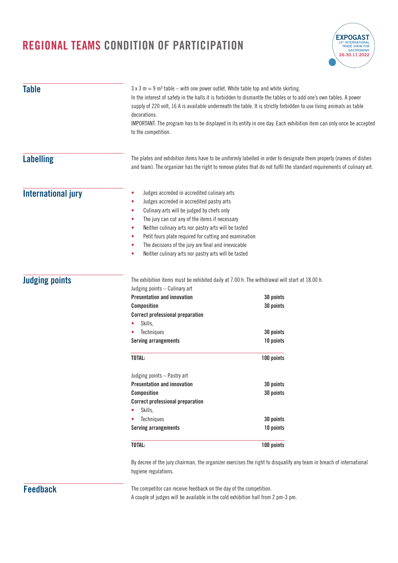

| <b>Table</b>              | $3 \times 3$ m = 9 m <sup>2</sup> table – with one power outlet. White table top and white skirting.<br>In the interest of safety in the halls it is forbidden to dismantle the tables or to add one's own tables. A power<br>supply of 220 volt, 16 A is available underneath the table. It is strictly forbidden to use living animals as table<br>decorations.<br>IMPORTANT: The program has to be displayed in its entity in one day. Each exhibition item can only once be accepted<br>to the competition. |                                                                                                                     |  |
|---------------------------|-----------------------------------------------------------------------------------------------------------------------------------------------------------------------------------------------------------------------------------------------------------------------------------------------------------------------------------------------------------------------------------------------------------------------------------------------------------------------------------------------------------------|---------------------------------------------------------------------------------------------------------------------|--|
| <b>Labelling</b>          | The plates and exhibition items have to be uniformly labelled in order to designate them properly (names of dishes<br>and team). The organizer has the right to remove plates that do not fulfil the standard requirements of culinary art.                                                                                                                                                                                                                                                                     |                                                                                                                     |  |
| <b>International jury</b> | Judges accreded in accredited culinary arts<br>٠<br>Judges accreded in accredited pastry arts<br>٠<br>Culinary arts will be judged by chefs only<br>۰<br>The jury can cut any of the items if necessary<br>٠<br>Neither culinary arts nor pastry arts will be tasted<br>٠<br>Petit fours plate required for cutting and examination<br>۰<br>The decisions of the jury are final and irrevocable<br>٠<br>Neither culinary arts nor pastry arts will be tasted<br>۰                                               |                                                                                                                     |  |
| <b>Judging points</b>     | The exhibition items must be exhibited daily at 7.00 h. The withdrawal will start at 18.00 h.<br>Judging points - Culinary art                                                                                                                                                                                                                                                                                                                                                                                  |                                                                                                                     |  |
|                           | <b>Presentation and innovation</b><br><b>Composition</b><br><b>Correct professional preparation</b>                                                                                                                                                                                                                                                                                                                                                                                                             | 30 points<br>30 points                                                                                              |  |
|                           | Skills,<br>Techniques                                                                                                                                                                                                                                                                                                                                                                                                                                                                                           | 30 points                                                                                                           |  |
|                           | <b>Serving arrangements</b>                                                                                                                                                                                                                                                                                                                                                                                                                                                                                     | 10 points                                                                                                           |  |
|                           | TOTAL:                                                                                                                                                                                                                                                                                                                                                                                                                                                                                                          | 100 points                                                                                                          |  |
|                           | Judging points - Pastry art                                                                                                                                                                                                                                                                                                                                                                                                                                                                                     |                                                                                                                     |  |
|                           | <b>Presentation and innovation</b>                                                                                                                                                                                                                                                                                                                                                                                                                                                                              | 30 points                                                                                                           |  |
|                           | <b>Composition</b><br><b>Correct professional preparation</b><br>Skills,                                                                                                                                                                                                                                                                                                                                                                                                                                        | 30 points                                                                                                           |  |
|                           | Techniques                                                                                                                                                                                                                                                                                                                                                                                                                                                                                                      | 30 points                                                                                                           |  |
|                           | <b>Serving arrangements</b>                                                                                                                                                                                                                                                                                                                                                                                                                                                                                     | 10 points                                                                                                           |  |
|                           | TOTAL:                                                                                                                                                                                                                                                                                                                                                                                                                                                                                                          | 100 points                                                                                                          |  |
|                           | hygiene regulations.                                                                                                                                                                                                                                                                                                                                                                                                                                                                                            | By decree of the jury chairman, the organizer exercises the right to disqualify any team in breach of international |  |
| <b>Feedback</b>           | The competitor can receive feedback on the day of the competition.                                                                                                                                                                                                                                                                                                                                                                                                                                              |                                                                                                                     |  |

The competitor can receive feedback on the day of the competition. A couple of judges will be available in the cold exhibition hall from 2 pm-3 pm.